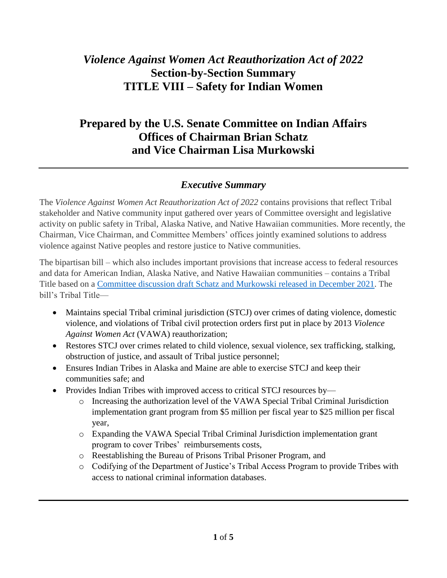# *Violence Against Women Act Reauthorization Act of 2022* **Section-by-Section Summary TITLE VIII – Safety for Indian Women**

## **Prepared by the U.S. Senate Committee on Indian Affairs Offices of Chairman Brian Schatz and Vice Chairman Lisa Murkowski**

## *Executive Summary*

The *Violence Against Women Act Reauthorization Act of 2022* contains provisions that reflect Tribal stakeholder and Native community input gathered over years of Committee oversight and legislative activity on public safety in Tribal, Alaska Native, and Native Hawaiian communities. More recently, the Chairman, Vice Chairman, and Committee Members' offices jointly examined solutions to address violence against Native peoples and restore justice to Native communities.

The bipartisan bill – which also includes important provisions that increase access to federal resources and data for American Indian, Alaska Native, and Native Hawaiian communities – contains a Tribal Title based on a [Committee discussion draft Schatz and Murkowski released in December](https://www.indian.senate.gov/news/press-release/murkowski-schatz-work-improve-safety-native-american-women) 2021. The bill's Tribal Title—

- Maintains special Tribal criminal jurisdiction (STCJ) over crimes of dating violence, domestic violence, and violations of Tribal civil protection orders first put in place by 2013 *Violence Against Women Act* (VAWA) reauthorization;
- Restores STCJ over crimes related to child violence, sexual violence, sex trafficking, stalking, obstruction of justice, and assault of Tribal justice personnel;
- Ensures Indian Tribes in Alaska and Maine are able to exercise STCJ and keep their communities safe; and
- Provides Indian Tribes with improved access to critical STCJ resources by
	- o Increasing the authorization level of the VAWA Special Tribal Criminal Jurisdiction implementation grant program from \$5 million per fiscal year to \$25 million per fiscal year,
	- o Expanding the VAWA Special Tribal Criminal Jurisdiction implementation grant program to cover Tribes' reimbursements costs,
	- o Reestablishing the Bureau of Prisons Tribal Prisoner Program, and
	- o Codifying of the Department of Justice's Tribal Access Program to provide Tribes with access to national criminal information databases.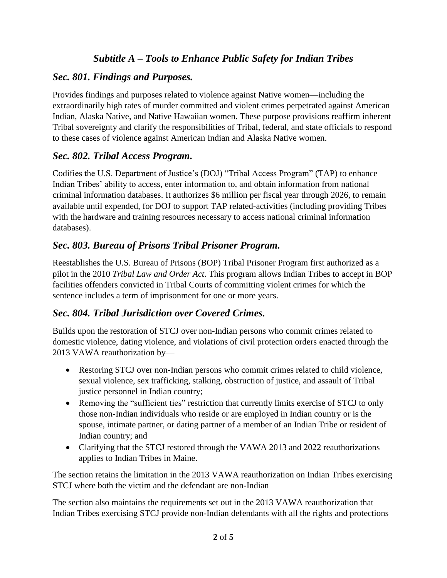## *Subtitle A – Tools to Enhance Public Safety for Indian Tribes*

## *Sec. 801. Findings and Purposes.*

Provides findings and purposes related to violence against Native women—including the extraordinarily high rates of murder committed and violent crimes perpetrated against American Indian, Alaska Native, and Native Hawaiian women. These purpose provisions reaffirm inherent Tribal sovereignty and clarify the responsibilities of Tribal, federal, and state officials to respond to these cases of violence against American Indian and Alaska Native women.

#### *Sec. 802. Tribal Access Program.*

Codifies the U.S. Department of Justice's (DOJ) "Tribal Access Program" (TAP) to enhance Indian Tribes' ability to access, enter information to, and obtain information from national criminal information databases. It authorizes \$6 million per fiscal year through 2026, to remain available until expended, for DOJ to support TAP related-activities (including providing Tribes with the hardware and training resources necessary to access national criminal information databases).

## *Sec. 803. Bureau of Prisons Tribal Prisoner Program.*

Reestablishes the U.S. Bureau of Prisons (BOP) Tribal Prisoner Program first authorized as a pilot in the 2010 *Tribal Law and Order Act*. This program allows Indian Tribes to accept in BOP facilities offenders convicted in Tribal Courts of committing violent crimes for which the sentence includes a term of imprisonment for one or more years.

## *Sec. 804. Tribal Jurisdiction over Covered Crimes.*

Builds upon the restoration of STCJ over non-Indian persons who commit crimes related to domestic violence, dating violence, and violations of civil protection orders enacted through the 2013 VAWA reauthorization by—

- Restoring STCJ over non-Indian persons who commit crimes related to child violence, sexual violence, sex trafficking, stalking, obstruction of justice, and assault of Tribal justice personnel in Indian country;
- Removing the "sufficient ties" restriction that currently limits exercise of STCJ to only those non-Indian individuals who reside or are employed in Indian country or is the spouse, intimate partner, or dating partner of a member of an Indian Tribe or resident of Indian country; and
- Clarifying that the STCJ restored through the VAWA 2013 and 2022 reauthorizations applies to Indian Tribes in Maine.

The section retains the limitation in the 2013 VAWA reauthorization on Indian Tribes exercising STCJ where both the victim and the defendant are non-Indian

The section also maintains the requirements set out in the 2013 VAWA reauthorization that Indian Tribes exercising STCJ provide non-Indian defendants with all the rights and protections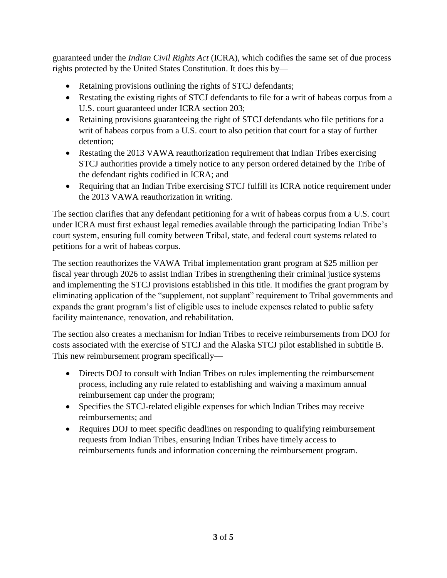guaranteed under the *Indian Civil Rights Act* (ICRA), which codifies the same set of due process rights protected by the United States Constitution. It does this by—

- Retaining provisions outlining the rights of STCJ defendants;
- Restating the existing rights of STCJ defendants to file for a writ of habeas corpus from a U.S. court guaranteed under ICRA section 203;
- Retaining provisions guaranteeing the right of STCJ defendants who file petitions for a writ of habeas corpus from a U.S. court to also petition that court for a stay of further detention;
- Restating the 2013 VAWA reauthorization requirement that Indian Tribes exercising STCJ authorities provide a timely notice to any person ordered detained by the Tribe of the defendant rights codified in ICRA; and
- Requiring that an Indian Tribe exercising STCJ fulfill its ICRA notice requirement under the 2013 VAWA reauthorization in writing.

The section clarifies that any defendant petitioning for a writ of habeas corpus from a U.S. court under ICRA must first exhaust legal remedies available through the participating Indian Tribe's court system, ensuring full comity between Tribal, state, and federal court systems related to petitions for a writ of habeas corpus.

The section reauthorizes the VAWA Tribal implementation grant program at \$25 million per fiscal year through 2026 to assist Indian Tribes in strengthening their criminal justice systems and implementing the STCJ provisions established in this title. It modifies the grant program by eliminating application of the "supplement, not supplant" requirement to Tribal governments and expands the grant program's list of eligible uses to include expenses related to public safety facility maintenance, renovation, and rehabilitation.

The section also creates a mechanism for Indian Tribes to receive reimbursements from DOJ for costs associated with the exercise of STCJ and the Alaska STCJ pilot established in subtitle B. This new reimbursement program specifically—

- Directs DOJ to consult with Indian Tribes on rules implementing the reimbursement process, including any rule related to establishing and waiving a maximum annual reimbursement cap under the program;
- Specifies the STCJ-related eligible expenses for which Indian Tribes may receive reimbursements; and
- Requires DOJ to meet specific deadlines on responding to qualifying reimbursement requests from Indian Tribes, ensuring Indian Tribes have timely access to reimbursements funds and information concerning the reimbursement program.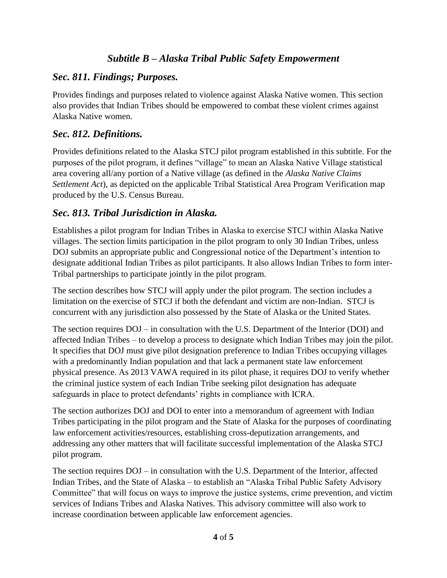#### *Subtitle B – Alaska Tribal Public Safety Empowerment*

#### *Sec. 811. Findings; Purposes.*

Provides findings and purposes related to violence against Alaska Native women. This section also provides that Indian Tribes should be empowered to combat these violent crimes against Alaska Native women.

#### *Sec. 812. Definitions.*

Provides definitions related to the Alaska STCJ pilot program established in this subtitle. For the purposes of the pilot program, it defines "village" to mean an Alaska Native Village statistical area covering all/any portion of a Native village (as defined in the *Alaska Native Claims Settlement Act*), as depicted on the applicable Tribal Statistical Area Program Verification map produced by the U.S. Census Bureau.

#### *Sec. 813. Tribal Jurisdiction in Alaska.*

Establishes a pilot program for Indian Tribes in Alaska to exercise STCJ within Alaska Native villages. The section limits participation in the pilot program to only 30 Indian Tribes, unless DOJ submits an appropriate public and Congressional notice of the Department's intention to designate additional Indian Tribes as pilot participants. It also allows Indian Tribes to form inter-Tribal partnerships to participate jointly in the pilot program.

The section describes how STCJ will apply under the pilot program. The section includes a limitation on the exercise of STCJ if both the defendant and victim are non-Indian. STCJ is concurrent with any jurisdiction also possessed by the State of Alaska or the United States.

The section requires DOJ – in consultation with the U.S. Department of the Interior (DOI) and affected Indian Tribes – to develop a process to designate which Indian Tribes may join the pilot. It specifies that DOJ must give pilot designation preference to Indian Tribes occupying villages with a predominantly Indian population and that lack a permanent state law enforcement physical presence. As 2013 VAWA required in its pilot phase, it requires DOJ to verify whether the criminal justice system of each Indian Tribe seeking pilot designation has adequate safeguards in place to protect defendants' rights in compliance with ICRA.

The section authorizes DOJ and DOI to enter into a memorandum of agreement with Indian Tribes participating in the pilot program and the State of Alaska for the purposes of coordinating law enforcement activities/resources, establishing cross-deputization arrangements, and addressing any other matters that will facilitate successful implementation of the Alaska STCJ pilot program.

The section requires DOJ – in consultation with the U.S. Department of the Interior, affected Indian Tribes, and the State of Alaska – to establish an "Alaska Tribal Public Safety Advisory Committee" that will focus on ways to improve the justice systems, crime prevention, and victim services of Indians Tribes and Alaska Natives. This advisory committee will also work to increase coordination between applicable law enforcement agencies.